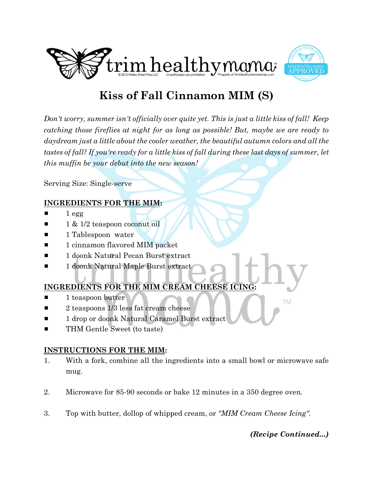



# **Kiss of Fall Cinnamon MIM (S)**

*Don't worry, summer isn't officially over quite yet. This is just a little kiss of fall! Keep catching those fireflies at night for as long as possible! But, maybe we are ready to daydream just a little about the cooler weather, the beautiful autumn colors and all the tastes of fall? If you're ready for a little kiss of fall during these last days of summer, let this muffin be your debut into the new season!*

Serving Size: Single-serve

#### **INGREDIENTS FOR THE MIM:**

- $1 <sub>egg</sub>$
- 1 & 1/2 teaspoon coconut oil
- **1** 1 Tablespoon water
- $\blacksquare$  1 cinnamon flavored MIM packet
- 1 doonk Natural Pecan Burst extract
- **1 doonk Natural Maple Burst extract**

# **INGREDIENTS FOR THE MIM CREAM CHEESE ICING:**

- 1 teaspoon butter
- $\blacksquare$  2 teaspoons 1/3 less fat cream cheese
- 1 drop or doonk Natural Caramel Burst extract
- THM Gentle Sweet (to taste)

# **INSTRUCTIONS FOR THE MIM:**

- 1. With a fork, combine all the ingredients into a small bowl or microwave safe mug.
- 2. Microwave for 85-90 seconds or bake 12 minutes in a 350 degree oven.
- 3. Top with butter, dollop of whipped cream, or *"MIM Cream Cheese Icing"*.

# *(Recipe Continued...)*

TM